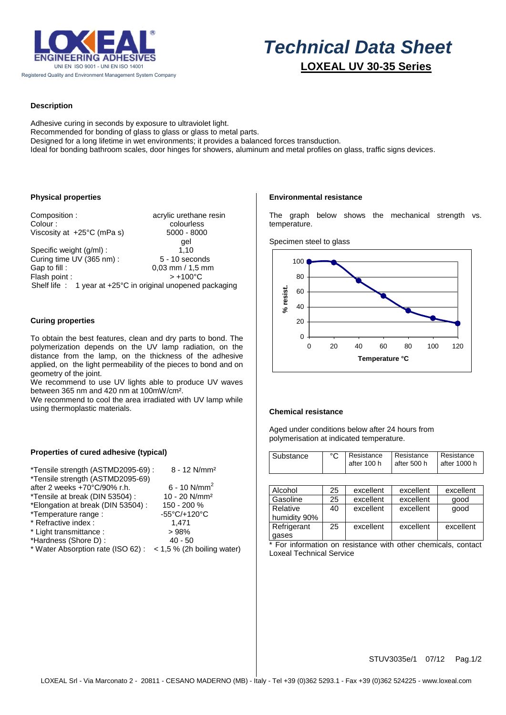

# *Technical Data Sheet*  **LOXEAL UV 30-35 Series**

## **Description**

Adhesive curing in seconds by exposure to ultraviolet light. Recommended for bonding of glass to glass or glass to metal parts. Designed for a long lifetime in wet environments; it provides a balanced forces transduction. Ideal for bonding bathroom scales, door hinges for showers, aluminum and metal profiles on glass, traffic signs devices.

## **Physical properties**

Composition : acrylic urethane resin Colour : colourless Viscosity at  $+25^{\circ}$ C (mPa s) 5000 - 8000 gel Specific weight (g/ml) : 1,10 Curing time UV (365 nm) : 5 - 10 seconds<br>
Gap to fill : 0,03 mm / 1,5 mm  $0.03$  mm / 1,5 mm Flash point :  $> +100^{\circ}$ C Shelf life : 1 year at +25°C in original unopened packaging

## **Curing properties**

To obtain the best features, clean and dry parts to bond. The polymerization depends on the UV lamp radiation, on the distance from the lamp, on the thickness of the adhesive applied, on the light permeability of the pieces to bond and on geometry of the joint.

We recommend to use UV lights able to produce UV waves between 365 nm and 420 nm at 100mW/cm².

We recommend to cool the area irradiated with UV lamp while using thermoplastic materials.

#### **Properties of cured adhesive (typical)**

| *Tensile strength (ASTMD2095-69) :                            | $8 - 12$ N/mm <sup>2</sup> |
|---------------------------------------------------------------|----------------------------|
| *Tensile strength (ASTMD2095-69)                              |                            |
| after 2 weeks +70°C/90% r.h.                                  | $6 - 10$ N/mm <sup>2</sup> |
| *Tensile at break (DIN 53504) :                               | 10 - 20 N/mm <sup>2</sup>  |
| *Elongation at break (DIN 53504) :                            | 150 - 200 %                |
| *Temperature range :                                          | -55°C/+120°C               |
| * Refractive index :                                          | 1.471                      |
| * Light transmittance :                                       | >98%                       |
| *Hardness (Shore D):                                          | $40 - 50$                  |
| * Water Absorption rate (ISO 62) : < 1,5 % (2h boiling water) |                            |
|                                                               |                            |

#### **Environmental resistance**

The graph below shows the mechanical strength vs. temperature.





#### **Chemical resistance**

Aged under conditions below after 24 hours from polymerisation at indicated temperature.

| Substance |  | l after 100 h | °C   Resistance   Resistance   Resistance<br>l after 500 h | l after 1000 h |
|-----------|--|---------------|------------------------------------------------------------|----------------|
|-----------|--|---------------|------------------------------------------------------------|----------------|

| Alcohol      | 25 | excellent | excellent | excellent |
|--------------|----|-----------|-----------|-----------|
| Gasoline     | 25 | excellent | excellent | qood      |
| Relative     | 40 | excellent | excellent | qood      |
| humidity 90% |    |           |           |           |
| Refrigerant  | 25 | excellent | excellent | excellent |
| gases        |    |           |           |           |

\* For information on resistance with other chemicals, contact Loxeal Technical Service

STUV3035e/1 07/12 Pag.1/2